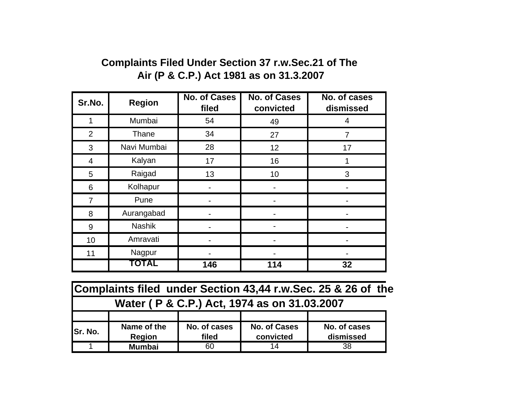## **Complaints Filed Under Section 37 r.w.Sec.21 of The Air (P & C.P.) Act 1981 as on 31.3.2007**

| Sr.No.         | <b>Region</b> | <b>No. of Cases</b><br>filed | <b>No. of Cases</b><br>convicted | No. of cases<br>dismissed |
|----------------|---------------|------------------------------|----------------------------------|---------------------------|
| 1              | Mumbai        | 54                           | 49                               | 4                         |
| $\overline{2}$ | Thane         | 34                           | 27                               | 7                         |
| 3              | Navi Mumbai   | 28                           | 12                               | 17                        |
| 4              | Kalyan        | 17                           | 16                               |                           |
| 5              | Raigad        | 13                           | 10                               | 3                         |
| 6              | Kolhapur      |                              |                                  |                           |
| 7              | Pune          |                              |                                  |                           |
| 8              | Aurangabad    |                              |                                  |                           |
| 9              | <b>Nashik</b> |                              |                                  |                           |
| 10             | Amravati      |                              |                                  |                           |
| 11             | Nagpur        |                              |                                  |                           |
|                | TOTAL         | 146                          | 114                              | 32                        |

| Complaints filed under Section 43,44 r.w. Sec. 25 & 26 of the |               |              |                     |              |  |
|---------------------------------------------------------------|---------------|--------------|---------------------|--------------|--|
| Water (P & C.P.) Act, 1974 as on 31.03.2007                   |               |              |                     |              |  |
|                                                               |               |              |                     |              |  |
| Sr. No.                                                       | Name of the   | No. of cases | <b>No. of Cases</b> | No. of cases |  |
|                                                               | <b>Region</b> | filed        | convicted           | dismissed    |  |
|                                                               | <b>Mumbai</b> | 60           | 14                  | 38           |  |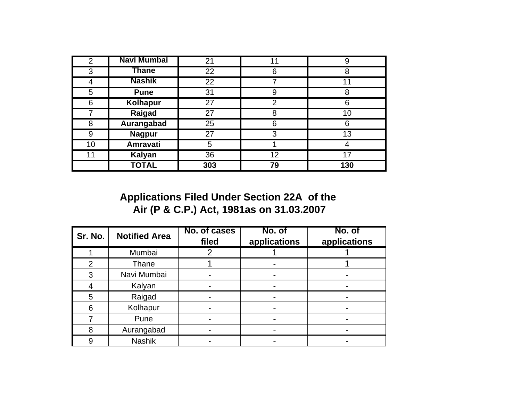| $\overline{2}$ | Navi Mumbai     | 21              | 11 |     |
|----------------|-----------------|-----------------|----|-----|
| 3              | Thane           | $\overline{22}$ | 6  | 8   |
| 4              | <b>Nashik</b>   | 22              | 7  | 11  |
| 5              | <b>Pune</b>     | 31              | 9  | 8   |
| 6              | <b>Kolhapur</b> | 27              | 2  | 6   |
| 7              | <b>Raigad</b>   | 27              | 8  | 10  |
| 8              | Aurangabad      | 25              | 6  | 6   |
| 9              | <b>Nagpur</b>   | 27              | 3  | 13  |
| 10             | <b>Amravati</b> | 5               |    |     |
| 11             | <b>Kalyan</b>   | 36              | 12 |     |
|                | <b>TOTAL</b>    | 303             | 79 | 130 |

**Applications Filed Under Section 22A of the Air (P & C.P.) Act, 1981as on 31.03.2007**

| Sr. No.        | <b>Notified Area</b> | No. of cases<br>filed | No. of<br>applications | No. of<br>applications |
|----------------|----------------------|-----------------------|------------------------|------------------------|
|                | Mumbai               | റ                     |                        |                        |
| $\overline{2}$ | Thane                |                       |                        |                        |
| 3              | Navi Mumbai          |                       |                        |                        |
|                | Kalyan               |                       |                        |                        |
| 5              | Raigad               |                       |                        |                        |
| 6              | Kolhapur             |                       |                        |                        |
|                | Pune                 |                       |                        |                        |
| 8              | Aurangabad           |                       |                        |                        |
| 9              | <b>Nashik</b>        |                       |                        |                        |